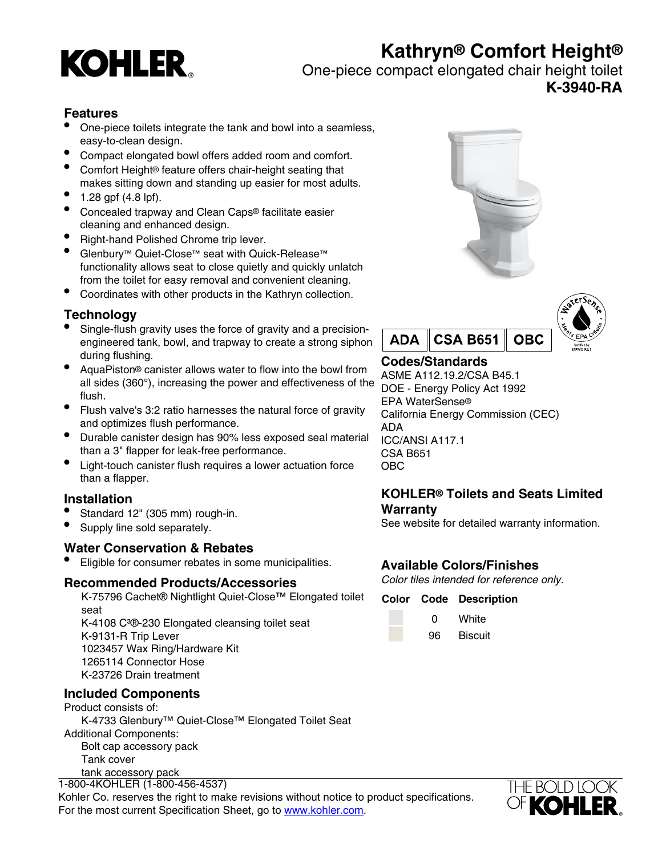

# **Kathryn® Comfort Height®**

One-piece compact elongated chair height toilet

# **K-3940-RA**

### **Features**

- One-piece toilets integrate the tank and bowl into a seamless, easy-to-clean design.
- Compact elongated bowl offers added room and comfort.
- Comfort Height® feature offers chair-height seating that makes sitting down and standing up easier for most adults.
- 1.28 gpf (4.8 lpf).
- Concealed trapway and Clean Caps® facilitate easier cleaning and enhanced design.
- Right-hand Polished Chrome trip lever.
- Glenbury™ Quiet-Close™ seat with Quick-Release™ functionality allows seat to close quietly and quickly unlatch from the toilet for easy removal and convenient cleaning.
- Coordinates with other products in the Kathryn collection.

## **Technology**

- Single-flush gravity uses the force of gravity and a precisionengineered tank, bowl, and trapway to create a strong siphon during flushing.
- AquaPiston® canister allows water to flow into the bowl from all sides (360°), increasing the power and effectiveness of the flush.
- Flush valve's 3:2 ratio harnesses the natural force of gravity and optimizes flush performance.
- Durable canister design has 90% less exposed seal material than a 3" flapper for leak-free performance.
- Light-touch canister flush requires a lower actuation force than a flapper.

### **Installation**

- Standard 12" (305 mm) rough-in.
- Supply line sold separately.

### **Water Conservation & Rebates**

• Eligible for consumer rebates in some municipalities.

#### **Recommended Products/Accessories**

K-75796 Cachet® Nightlight Quiet-Close™ Elongated toilet seat K-4108 C<sup>3</sup>®-230 Elongated cleansing toilet seat K-9131-R Trip Lever 1023457 Wax Ring/Hardware Kit 1265114 Connector Hose K-23726 Drain treatment

### **Included Components**

Product consists of: K-4733 Glenbury™ Quiet-Close™ Elongated Toilet Seat Additional Components: Bolt cap accessory pack Tank cover tank accessory pack

trip lever 1-800-4KOHLER (1-800-456-4537) Kohler Co. reserves the right to make revisions without notice to product specifications. For the most current Specification Sheet, go to [www.kohler.com](http://www.kohler.com).





# **Codes/Standards**

ASME A112.19.2/CSA B45.1 DOE - Energy Policy Act 1992 EPA WaterSense® California Energy Commission (CEC) ADA ICC/ANSI A117.1 CSA B651 OBC

### **KOHLER® Toilets and Seats Limited Warranty**

See website for detailed warranty information.

## **Available Colors/Finishes**

Color tiles intended for reference only.

#### **Color Code Description**

0 White 96 Biscuit